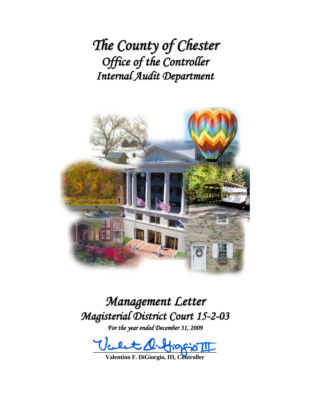*The County of Chester Office of the Controller Internal Audit Department*



*Management Letter Magisterial District Court 15-2-03*

*For the year ended December 31, 2009*

 $\psi$ cent sinterpris III

**Valentino F. DiGiorgio, III, Controller**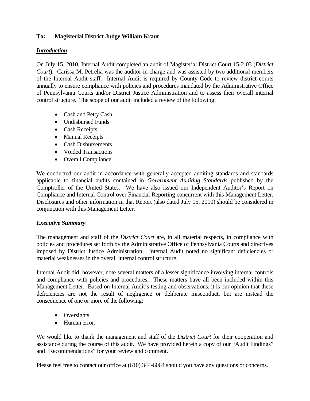## **To: Magisterial District Judge William Kraut**

### *Introduction*

On July 15, 2010, Internal Audit completed an audit of Magisterial District Court 15-2-03 (*District Court*). Carissa M. Petrelia was the auditor-in-charge and was assisted by two additional members of the Internal Audit staff. Internal Audit is required by County Code to review district courts annually to ensure compliance with policies and procedures mandated by the Administrative Office of Pennsylvania Courts and/or District Justice Administration and to assess their overall internal control structure. The scope of our audit included a review of the following:

- Cash and Petty Cash
- Undisbursed Funds
- Cash Receipts
- Manual Receipts
- Cash Disbursements
- Voided Transactions
- Overall Compliance.

We conducted our audit in accordance with generally accepted auditing standards and standards applicable to financial audits contained in *Government Auditing Standards* published by the Comptroller of the United States. We have also issued our Independent Auditor's Report on Compliance and Internal Control over Financial Reporting concurrent with this Management Letter. Disclosures and other information in that Report (also dated July 15, 2010) should be considered in conjunction with this Management Letter.

### *Executive Summary*

The management and staff of the *District Court* are, in all material respects, in compliance with policies and procedures set forth by the Administrative Office of Pennsylvania Courts and directives imposed by District Justice Administration. Internal Audit noted no significant deficiencies or material weaknesses in the overall internal control structure.

Internal Audit did, however, note several matters of a lesser significance involving internal controls and compliance with policies and procedures. These matters have all been included within this Management Letter. Based on Internal Audit's testing and observations, it is our opinion that these deficiencies are not the result of negligence or deliberate misconduct, but are instead the consequence of one or more of the following:

- Oversights
- Human error.

We would like to thank the management and staff of the *District Court* for their cooperation and assistance during the course of this audit. We have provided herein a copy of our "Audit Findings" and "Recommendations" for your review and comment.

Please feel free to contact our office at (610) 344-6064 should you have any questions or concerns.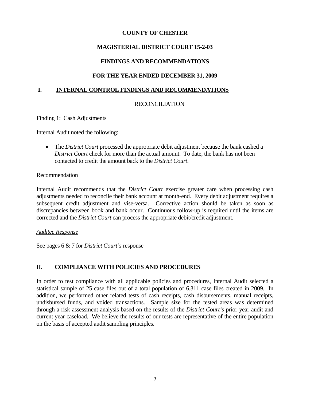## **MAGISTERIAL DISTRICT COURT 15-2-03**

## **FINDINGS AND RECOMMENDATIONS**

## **FOR THE YEAR ENDED DECEMBER 31, 2009**

### **I. INTERNAL CONTROL FINDINGS AND RECOMMENDATIONS**

## RECONCILIATION

Finding 1: Cash Adjustments

Internal Audit noted the following:

 The *District Court* processed the appropriate debit adjustment because the bank cashed a *District Court* check for more than the actual amount. To date, the bank has not been contacted to credit the amount back to the *District Court*.

### Recommendation

Internal Audit recommends that the *District Court* exercise greater care when processing cash adjustments needed to reconcile their bank account at month-end. Every debit adjustment requires a subsequent credit adjustment and vise-versa. Corrective action should be taken as soon as discrepancies between book and bank occur. Continuous follow-up is required until the items are corrected and the *District Court* can process the appropriate debit/credit adjustment.

### *Auditee Response*

See pages 6 & 7 for *District Court's* response

## **II. COMPLIANCE WITH POLICIES AND PROCEDURES**

In order to test compliance with all applicable policies and procedures, Internal Audit selected a statistical sample of 25 case files out of a total population of 6,311 case files created in 2009. In addition, we performed other related tests of cash receipts, cash disbursements, manual receipts, undisbursed funds, and voided transactions. Sample size for the tested areas was determined through a risk assessment analysis based on the results of the *District Court's* prior year audit and current year caseload. We believe the results of our tests are representative of the entire population on the basis of accepted audit sampling principles.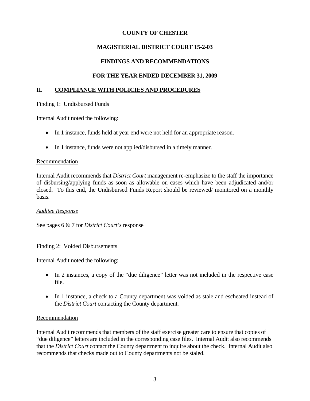# **MAGISTERIAL DISTRICT COURT 15-2-03**

## **FINDINGS AND RECOMMENDATIONS**

## **FOR THE YEAR ENDED DECEMBER 31, 2009**

### **II. COMPLIANCE WITH POLICIES AND PROCEDURES**

### Finding 1: Undisbursed Funds

Internal Audit noted the following:

- In 1 instance, funds held at year end were not held for an appropriate reason.
- In 1 instance, funds were not applied/disbursed in a timely manner.

### Recommendation

Internal Audit recommends that *District Court* management re-emphasize to the staff the importance of disbursing/applying funds as soon as allowable on cases which have been adjudicated and/or closed. To this end, the Undisbursed Funds Report should be reviewed/ monitored on a monthly basis.

### *Auditee Response*

See pages 6 & 7 for *District Court's* response

### Finding 2: Voided Disbursements

Internal Audit noted the following:

- In 2 instances, a copy of the "due diligence" letter was not included in the respective case file.
- In 1 instance, a check to a County department was voided as stale and escheated instead of the *District Court* contacting the County department.

### Recommendation

Internal Audit recommends that members of the staff exercise greater care to ensure that copies of "due diligence" letters are included in the corresponding case files. Internal Audit also recommends that the *District Court* contact the County department to inquire about the check. Internal Audit also recommends that checks made out to County departments not be staled.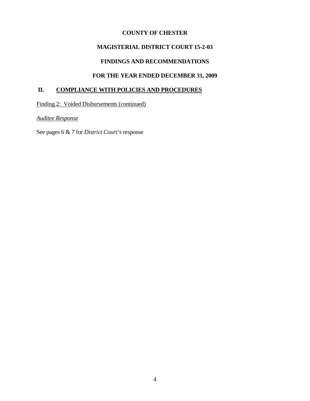## **MAGISTERIAL DISTRICT COURT 15-2-03**

# **FINDINGS AND RECOMMENDATIONS**

## **FOR THE YEAR ENDED DECEMBER 31, 2009**

# **II. COMPLIANCE WITH POLICIES AND PROCEDURES**

Finding 2: Voided Disbursements (continued)

*Auditee Response*

See pages 6 & 7 for *District Court's* response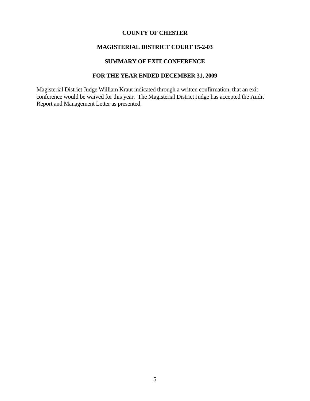#### **MAGISTERIAL DISTRICT COURT 15-2-03**

# **SUMMARY OF EXIT CONFERENCE**

### **FOR THE YEAR ENDED DECEMBER 31, 2009**

Magisterial District Judge William Kraut indicated through a written confirmation, that an exit conference would be waived for this year. The Magisterial District Judge has accepted the Audit Report and Management Letter as presented.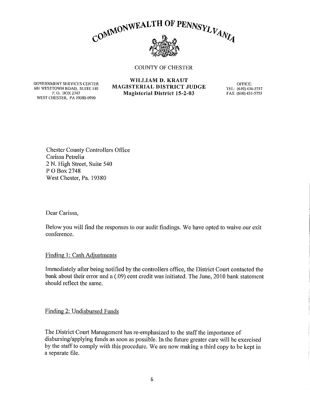

**GOVERNMENT SERVICES CENTER** 601 WESTTOWN ROAD, SUITE 110 P.O. BOX 2747 **WEST CHESTER, PA 19380-0990** 

#### WILLIAM D. KRAUT MAGISTERIAL DISTRICT JUDGE **Magisterial District 15-2-03**

OFFICE: TEL: (610) 436-5757 FAX (610) 431-5755

**Chester County Controllers Office** Carissa Petrelia 2 N. High Street, Suite 540 P O Box 2748 West Chester, Pa. 19380

Dear Carissa,

 $\bar{L}$ 

Below you will find the responses to our audit findings. We have opted to waive our exit conference.

Finding 1: Cash Adjustments

Immediately after being notified by the controllers office, the District Court contacted the bank about their error and a (.09) cent credit was initiated. The June, 2010 bank statement should reflect the same.

Finding 2: Undisbursed Funds

The District Court Management has re-emphasized to the staff the importance of disbursing/applying funds as soon as possible. In the future greater care will be exercised by the staff to comply with this procedure. We are now making a third copy to be kept in a separate file.